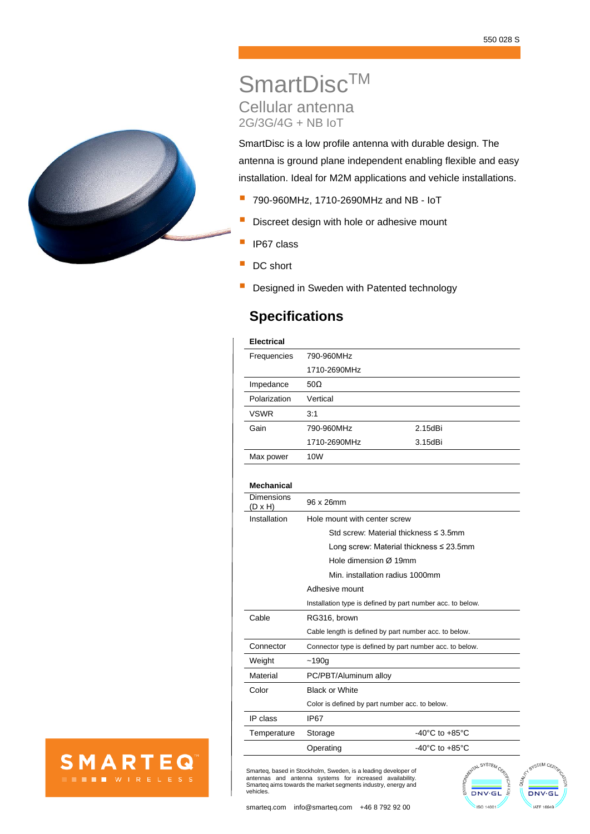

**SMARTEQ** 

**THE WIRELESS** 

# SmartDisc™ Cellular antenna 2G/3G/4G + NB IoT

SmartDisc is a low profile antenna with durable design. The antenna is ground plane independent enabling flexible and easy installation. Ideal for M2M applications and vehicle installations.

- 790-960MHz, 1710-2690MHz and NB IoT
- **E** Discreet design with hole or adhesive mount
- **I** IP67 class
- DC short
- Designed in Sweden with Patented technology

## **Specifications**

## **Electrical**

| Frequencies  | 790-960MHz   |         |  |
|--------------|--------------|---------|--|
|              | 1710-2690MHz |         |  |
| Impedance    | $50\Omega$   |         |  |
| Polarization | Vertical     |         |  |
| <b>VSWR</b>  | 3:1          |         |  |
| Gain         | 790-960MHz   | 2.15dBi |  |
|              | 1710-2690MHz | 3.15dBi |  |
| Max power    | 10W          |         |  |
|              |              |         |  |

## **Mechanical**

| Dimensions<br>(D x H) | 96 x 26mm                                               |                                                            |  |
|-----------------------|---------------------------------------------------------|------------------------------------------------------------|--|
| Installation          | Hole mount with center screw                            |                                                            |  |
|                       |                                                         | Std screw: Material thickness $\leq$ 3.5mm                 |  |
|                       |                                                         | Long screw: Material thickness $\leq$ 23.5mm               |  |
|                       | Hole dimension Ø 19mm                                   |                                                            |  |
|                       | Min. installation radius 1000mm                         |                                                            |  |
|                       | Adhesive mount                                          |                                                            |  |
|                       |                                                         | Installation type is defined by part number acc. to below. |  |
| Cable                 | RG316, brown                                            |                                                            |  |
|                       |                                                         | Cable length is defined by part number acc. to below.      |  |
| Connector             | Connector type is defined by part number acc. to below. |                                                            |  |
| Weight                | ~190q                                                   |                                                            |  |
| Material              | PC/PBT/Aluminum alloy                                   |                                                            |  |
| Color                 | <b>Black or White</b>                                   |                                                            |  |
|                       | Color is defined by part number acc. to below.          |                                                            |  |
| IP class              | <b>IP67</b>                                             |                                                            |  |
| Temperature           | Storage                                                 | -40 $^{\circ}$ C to +85 $^{\circ}$ C                       |  |
|                       | Operating                                               | $-40^{\circ}$ C to $+85^{\circ}$ C                         |  |